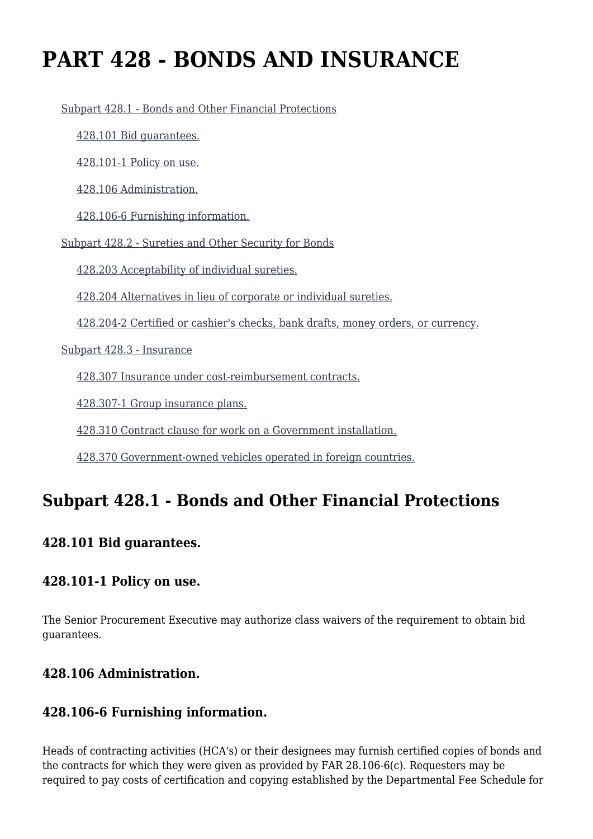# **PART 428 - BONDS AND INSURANCE**

[Subpart 428.1 - Bonds and Other Financial Protections](https://origin-www.acquisition.gov/%5Brp:link:agar-part-428%5D#Subpart_428_1_T48_40215281)

[428.101 Bid guarantees.](https://origin-www.acquisition.gov/%5Brp:link:agar-part-428%5D#Section_428_101_T48_4021528111)

[428.101-1 Policy on use.](https://origin-www.acquisition.gov/%5Brp:link:agar-part-428%5D#Section_428_101_1_T48_4021528112)

[428.106 Administration.](https://origin-www.acquisition.gov/%5Brp:link:agar-part-428%5D#Section_428_106_T48_4021528113)

[428.106-6 Furnishing information.](https://origin-www.acquisition.gov/%5Brp:link:agar-part-428%5D#Section_428_106_6_T48_4021528114)

[Subpart 428.2 - Sureties and Other Security for Bonds](https://origin-www.acquisition.gov/%5Brp:link:agar-part-428%5D#Subpart_428_2_T48_40215282)

[428.203 Acceptability of individual sureties.](https://origin-www.acquisition.gov/%5Brp:link:agar-part-428%5D#Section_428_203_T48_4021528211)

[428.204 Alternatives in lieu of corporate or individual sureties.](https://origin-www.acquisition.gov/%5Brp:link:agar-part-428%5D#Section_428_204_T48_4021528212)

[428.204-2 Certified or cashier's checks, bank drafts, money orders, or currency.](https://origin-www.acquisition.gov/%5Brp:link:agar-part-428%5D#Section_428_204_2_T48_4021528213)

[Subpart 428.3 - Insurance](https://origin-www.acquisition.gov/%5Brp:link:agar-part-428%5D#Subpart_428_3_T48_40215283)

[428.307 Insurance under cost-reimbursement contracts.](https://origin-www.acquisition.gov/%5Brp:link:agar-part-428%5D#Section_428_307_T48_4021528311)

[428.307-1 Group insurance plans.](https://origin-www.acquisition.gov/%5Brp:link:agar-part-428%5D#Section_428_307_1_T48_4021528312)

[428.310 Contract clause for work on a Government installation.](https://origin-www.acquisition.gov/%5Brp:link:agar-part-428%5D#Section_428_310_T48_4021528313)

[428.370 Government-owned vehicles operated in foreign countries.](https://origin-www.acquisition.gov/%5Brp:link:agar-part-428%5D#Section_428_370_T48_4021528314)

## **Subpart 428.1 - Bonds and Other Financial Protections**

#### **428.101 Bid guarantees.**

#### **428.101-1 Policy on use.**

The Senior Procurement Executive may authorize class waivers of the requirement to obtain bid guarantees.

#### **428.106 Administration.**

#### **428.106-6 Furnishing information.**

Heads of contracting activities (HCA's) or their designees may furnish certified copies of bonds and the contracts for which they were given as provided by FAR 28.106-6(c). Requesters may be required to pay costs of certification and copying established by the Departmental Fee Schedule for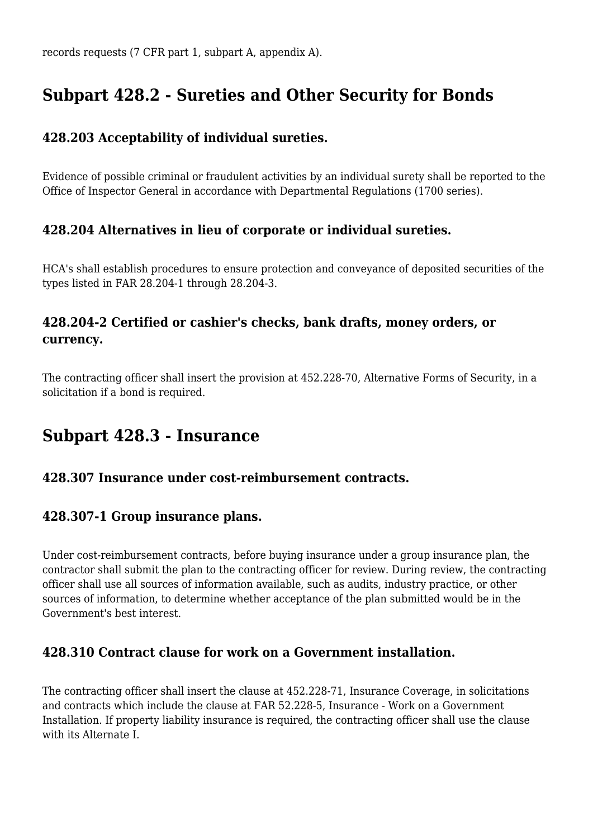# **Subpart 428.2 - Sureties and Other Security for Bonds**

#### **428.203 Acceptability of individual sureties.**

Evidence of possible criminal or fraudulent activities by an individual surety shall be reported to the Office of Inspector General in accordance with Departmental Regulations (1700 series).

#### **428.204 Alternatives in lieu of corporate or individual sureties.**

HCA's shall establish procedures to ensure protection and conveyance of deposited securities of the types listed in FAR 28.204-1 through 28.204-3.

#### **428.204-2 Certified or cashier's checks, bank drafts, money orders, or currency.**

The contracting officer shall insert the provision at 452.228-70, Alternative Forms of Security, in a solicitation if a bond is required.

## **Subpart 428.3 - Insurance**

#### **428.307 Insurance under cost-reimbursement contracts.**

#### **428.307-1 Group insurance plans.**

Under cost-reimbursement contracts, before buying insurance under a group insurance plan, the contractor shall submit the plan to the contracting officer for review. During review, the contracting officer shall use all sources of information available, such as audits, industry practice, or other sources of information, to determine whether acceptance of the plan submitted would be in the Government's best interest.

#### **428.310 Contract clause for work on a Government installation.**

The contracting officer shall insert the clause at 452.228-71, Insurance Coverage, in solicitations and contracts which include the clause at FAR 52.228-5, Insurance - Work on a Government Installation. If property liability insurance is required, the contracting officer shall use the clause with its Alternate I.